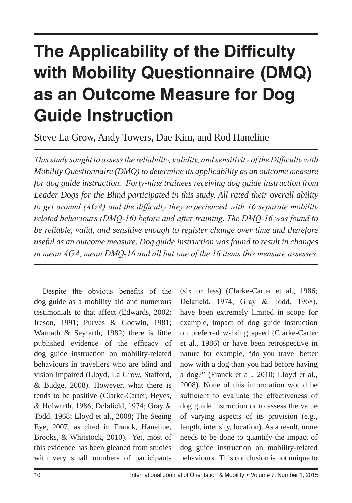# **The Applicability of the Difficulty with Mobility Questionnaire (DMQ) as an Outcome Measure for Dog Guide Instruction**

Steve La Grow, Andy Towers, Dae Kim, and Rod Haneline

*This study sought to assess the reliability, validity, and sensitivity of the Difficulty with Mobility Questionnaire (DMQ) to determine its applicability as an outcome measure for dog guide instruction. Forty-nine trainees receiving dog guide instruction from Leader Dogs for the Blind participated in this study. All rated their overall ability to get around (AGA) and the difficulty they experienced with 16 separate mobility related behaviours (DMQ-16) before and after training. The DMQ-16 was found to be reliable, valid, and sensitive enough to register change over time and therefore useful as an outcome measure. Dog guide instruction was found to result in changes in mean AGA, mean DMQ-16 and all but one of the 16 items this measure assesses.*

Despite the obvious benefits of the dog guide as a mobility aid and numerous testimonials to that affect (Edwards, 2002; Ireson, 1991; Purves & Godwin, 1981; Warnath & Seyfarth, 1982) there is little published evidence of the efficacy of dog guide instruction on mobility-related behaviours in travellers who are blind and vision impaired (Lloyd, La Grow, Stafford, & Budge, 2008). However, what there is tends to be positive (Clarke-Carter, Heyes, & Holwarth, 1986; Delafield, 1974; Gray & Todd, 1968; Lloyd et al., 2008; The Seeing Eye, 2007, as cited in Franck, Haneline, Brooks, & Whitstock, 2010). Yet, most of this evidence has been gleaned from studies with very small numbers of participants

(six or less) (Clarke-Carter et al., 1986; Delafield, 1974; Gray & Todd, 1968), have been extremely limited in scope for example, impact of dog guide instruction on preferred walking speed (Clarke-Carter et al., 1986) or have been retrospective in nature for example, "do you travel better now with a dog than you had before having a dog?" (Franck et al., 2010; Lloyd et al., 2008). None of this information would be sufficient to evaluate the effectiveness of dog guide instruction or to assess the value of varying aspects of its provision (e.g., length, intensity, location). As a result, more needs to be done to quantify the impact of dog guide instruction on mobility-related behaviours. This conclusion is not unique to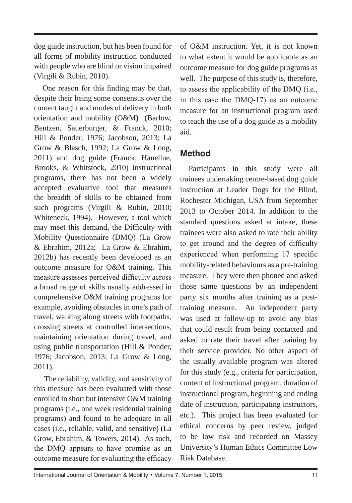dog guide instruction, but has been found for all forms of mobility instruction conducted with people who are blind or vision impaired (Virgili & Rubin, 2010).

One reason for this finding may be that, despite their being some consensus over the content taught and modes of delivery in both orientation and mobility (O&M) (Barlow, Bentzen, Sauerburger, & Franck, 2010; Hill & Ponder, 1976; Jacobson, 2013; La Grow & Blasch, 1992; La Grow & Long, 2011) and dog guide (Franck, Haneline, Brooks, & Whitstock, 2010) instructional programs, there has not been a widely accepted evaluative tool that measures the breadth of skills to be obtained from such programs (Virgili & Rubin, 2010; Whiteneck, 1994). However, a tool which may meet this demand, the Difficulty with Mobility Questionnaire (DMQ) (La Grow & Ebrahim, 2012a; La Grow & Ebrahim, 2012b) has recently been developed as an outcome measure for O&M training. This measure assesses perceived difficulty across a broad range of skills usually addressed in comprehensive O&M training programs for example, avoiding obstacles in one's path of travel, walking along streets with footpaths, crossing streets at controlled intersections, maintaining orientation during travel, and using public transportation (Hill & Ponder, 1976; Jacobson, 2013; La Grow & Long, 2011).

 The reliability, validity, and sensitivity of this measure has been evaluated with those enrolled in short but intensive O&M training programs (i.e., one week residential training programs) and found to be adequate in all cases (i.e., reliable, valid, and sensitive) (La Grow, Ebrahim, & Towers, 2014). As such, the DMQ appears to have promise as an outcome measure for evaluating the efficacy of O&M instruction. Yet, it is not known to what extent it would be applicable as an outcome measure for dog guide programs as well. The purpose of this study is, therefore, to assess the applicability of the DMQ (i.e., in this case the DMQ-17) as an outcome measure for an instructional program used to teach the use of a dog guide as a mobility aid.

# **Method**

Participants in this study were all trainees undertaking centre-based dog guide instruction at Leader Dogs for the Blind, Rochester Michigan, USA from September 2013 to October 2014. In addition to the standard questions asked at intake, these trainees were also asked to rate their ability to get around and the degree of difficulty experienced when performing 17 specific mobility-related behaviours as a pre-training measure. They were then phoned and asked those same questions by an independent party six months after training as a posttraining measure. An independent party was used at follow-up to avoid any bias that could result from being contacted and asked to rate their travel after training by their service provider. No other aspect of the usually available program was altered for this study (e.g., criteria for participation, content of instructional program, duration of instructional program, beginning and ending date of instruction, participating instructors, etc.). This project has been evaluated for ethical concerns by peer review, judged to be low risk and recorded on Massey University's Human Ethics Committee Low Risk Database.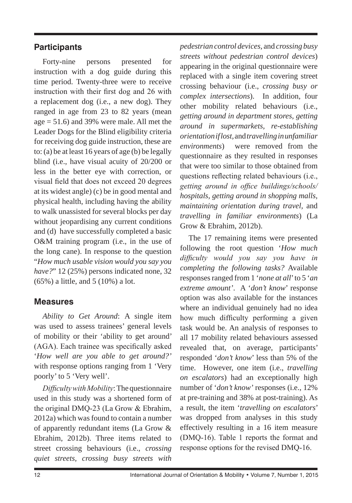### **Participants**

Forty-nine persons presented for instruction with a dog guide during this time period. Twenty-three were to receive instruction with their first dog and 26 with a replacement dog (i.e., a new dog). They ranged in age from 23 to 82 years (mean age = 51.6) and 39% were male. All met the Leader Dogs for the Blind eligibility criteria for receiving dog guide instruction, these are to: (a) be at least 16 years of age (b) be legally blind (i.e., have visual acuity of 20/200 or less in the better eye with correction, or visual field that does not exceed 20 degrees at its widest angle) (c) be in good mental and physical health, including having the ability to walk unassisted for several blocks per day without jeopardising any current conditions and (d) have successfully completed a basic O&M training program (i.e., in the use of the long cane). In response to the question "*How much usable vision would you say you have?*" 12 (25%) persons indicated none, 32 (65%) a little, and 5 (10%) a lot.

#### **Measures**

*Ability to Get Around*: A single item was used to assess trainees' general levels of mobility or their 'ability to get around' (AGA). Each trainee was specifically asked '*How well are you able to get around?'* with response options ranging from 1 'Very poorly' to 5 'Very well'.

*Difficulty with Mobility*:The questionnaire used in this study was a shortened form of the original DMQ-23 (La Grow & Ebrahim, 2012a) which was found to contain a number of apparently redundant items (La Grow & Ebrahim, 2012b). Three items related to street crossing behaviours (i.e., *crossing quiet streets, crossing busy streets with*  *pedestrian control devices,* and *crossing busy streets without pedestrian control devices*) appearing in the original questionnaire were replaced with a single item covering street crossing behaviour (i.e., *crossing busy or complex intersections*). In addition, four other mobility related behaviours (i.e., *getting around in department stores, getting around in supermarkets, re-establishing orientation if lost,* and *travelling in unfamiliar environments*) were removed from the questionnaire as they resulted in responses that were too similar to those obtained from questions reflecting related behaviours (i.e., *getting around in office buildings/schools/ hospitals, getting around in shopping malls, maintaining orientation during travel,* and *travelling in familiar environments*) (La Grow & Ebrahim, 2012b).

The 17 remaining items were presented following the root question '*How much difficulty would you say you have in completing the following tasks?* Available responses ranged from 1 '*none at all*' to 5 '*an extreme amount'*. A '*don't know*' response option was also available for the instances where an individual genuinely had no idea how much difficulty performing a given task would be. An analysis of responses to all 17 mobility related behaviours assessed revealed that, on average, participants' responded '*don't know*' less than 5% of the time. However, one item (i.e., *travelling on escalators*) had an exceptionally high number of '*don't know'* responses (i.e., 12% at pre-training and 38% at post-training). As a result, the item '*travelling on escalators*' was dropped from analyses in this study effectively resulting in a 16 item measure (DMQ-16). Table 1 reports the format and response options for the revised DMQ-16.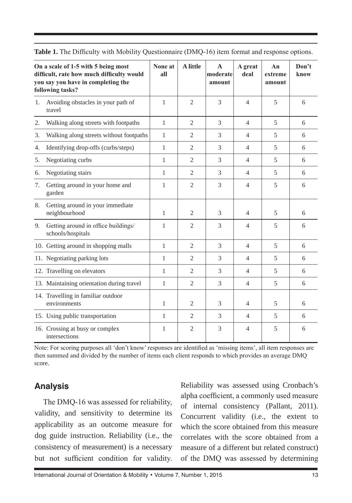|    | On a scale of 1-5 with 5 being most<br>difficult, rate how much difficulty would<br>you say you have in completing the<br>following tasks? | None at<br>all | A little       | $\mathbf{A}$<br>moderate<br>amount | A great<br>deal | An<br>extreme<br>amount | Don't<br>know |
|----|--------------------------------------------------------------------------------------------------------------------------------------------|----------------|----------------|------------------------------------|-----------------|-------------------------|---------------|
| 1. | Avoiding obstacles in your path of<br>travel                                                                                               | $\mathbf{1}$   | $\overline{c}$ | 3                                  | $\overline{4}$  | 5                       | 6             |
| 2. | Walking along streets with footpaths                                                                                                       | $\mathbf{1}$   | $\overline{2}$ | 3                                  | $\overline{4}$  | 5                       | 6             |
| 3. | Walking along streets without footpaths                                                                                                    | 1              | $\overline{2}$ | 3                                  | $\overline{4}$  | 5                       | 6             |
| 4. | Identifying drop-offs (curbs/steps)                                                                                                        | 1              | $\overline{c}$ | 3                                  | $\overline{4}$  | $\overline{5}$          | 6             |
| 5. | Negotiating curbs                                                                                                                          | 1              | $\overline{2}$ | 3                                  | $\overline{4}$  | $\overline{5}$          | 6             |
| 6. | Negotiating stairs                                                                                                                         | 1              | $\overline{c}$ | 3                                  | $\overline{4}$  | $\overline{5}$          | 6             |
| 7. | Getting around in your home and<br>garden                                                                                                  | 1              | $\overline{c}$ | 3                                  | $\overline{4}$  | 5                       | 6             |
| 8. | Getting around in your immediate<br>neighbourhood                                                                                          | 1              | $\overline{c}$ | 3                                  | $\overline{4}$  | 5                       | 6             |
| 9. | Getting around in office buildings/<br>schools/hospitals                                                                                   | 1              | $\overline{c}$ | 3                                  | $\overline{4}$  | $\overline{5}$          | 6             |
|    | 10. Getting around in shopping malls                                                                                                       | 1              | $\overline{c}$ | 3                                  | $\overline{4}$  | 5                       | 6             |
|    | 11. Negotiating parking lots                                                                                                               | 1              | $\overline{c}$ | 3                                  | $\overline{4}$  | 5                       | 6             |
|    | 12. Travelling on elevators                                                                                                                | 1              | $\overline{c}$ | 3                                  | $\overline{4}$  | 5                       | 6             |
|    | 13. Maintaining orientation during travel                                                                                                  | 1              | $\overline{c}$ | 3                                  | 4               | 5                       | 6             |
|    | 14. Travelling in familiar outdoor<br>environments                                                                                         | 1              | $\overline{c}$ | 3                                  | 4               | 5                       | 6             |
|    | 15. Using public transportation                                                                                                            | 1              | $\overline{c}$ | 3                                  | $\overline{4}$  | 5                       | 6             |
|    | 16. Crossing at busy or complex<br>intersections                                                                                           | 1              | $\overline{2}$ | 3                                  | $\overline{4}$  | 5                       | 6             |

**Table 1.** The Difficulty with Mobility Questionnaire (DMQ-16) item format and response options.

Note: For scoring purposes all 'don't know' responses are identified as 'missing items', all item responses are then summed and divided by the number of items each client responds to which provides an average DMQ score.

#### **Analysis**

The DMQ-16 was assessed for reliability, validity, and sensitivity to determine its applicability as an outcome measure for dog guide instruction. Reliability (i.e., the consistency of measurement) is a necessary but not sufficient condition for validity.

Reliability was assessed using Cronbach's alpha coefficient, a commonly used measure of internal consistency (Pallant, 2011). Concurrent validity (i.e., the extent to which the score obtained from this measure correlates with the score obtained from a measure of a different but related construct) of the DMQ was assessed by determining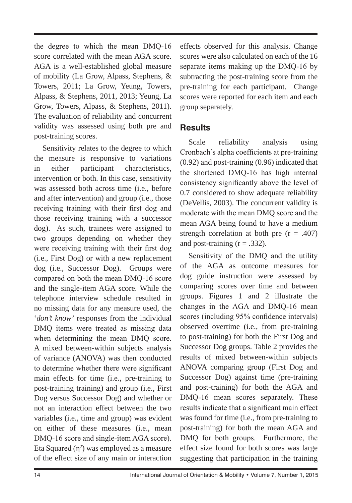the degree to which the mean DMQ-16 score correlated with the mean AGA score. AGA is a well-established global measure of mobility (La Grow, Alpass, Stephens, & Towers, 2011; La Grow, Yeung, Towers, Alpass, & Stephens, 2011, 2013; Yeung, La Grow, Towers, Alpass, & Stephens, 2011). The evaluation of reliability and concurrent validity was assessed using both pre and post-training scores.

Sensitivity relates to the degree to which the measure is responsive to variations in either participant characteristics, intervention or both. In this case, sensitivity was assessed both across time (i.e., before and after intervention) and group (i.e., those receiving training with their first dog and those receiving training with a successor dog). As such, trainees were assigned to two groups depending on whether they were receiving training with their first dog (i.e., First Dog) or with a new replacement dog (i.e., Successor Dog). Groups were compared on both the mean DMQ-16 score and the single-item AGA score. While the telephone interview schedule resulted in no missing data for any measure used, the '*don't know'* responses from the individual DMQ items were treated as missing data when determining the mean DMQ score. A mixed between-within subjects analysis of variance (ANOVA) was then conducted to determine whether there were significant main effects for time (i.e., pre-training to post-training training) and group (i.e., First Dog versus Successor Dog) and whether or not an interaction effect between the two variables (i.e., time and group) was evident on either of these measures (i.e., mean DMQ-16 score and single-item AGA score). Eta Squared  $(\eta^2)$  was employed as a measure of the effect size of any main or interaction

effects observed for this analysis. Change scores were also calculated on each of the 16 separate items making up the DMQ-16 by subtracting the post-training score from the pre-training for each participant. Change scores were reported for each item and each group separately.

#### **Results**

Scale reliability analysis using Cronbach's alpha coefficients at pre-training (0.92) and post-training (0.96) indicated that the shortened DMQ-16 has high internal consistency significantly above the level of 0.7 considered to show adequate reliability (DeVellis, 2003). The concurrent validity is moderate with the mean DMQ score and the mean AGA being found to have a medium strength correlation at both pre  $(r = .407)$ and post-training  $(r = .332)$ .

Sensitivity of the DMQ and the utility of the AGA as outcome measures for dog guide instruction were assessed by comparing scores over time and between groups. Figures 1 and 2 illustrate the changes in the AGA and DMQ-16 mean scores (including 95% confidence intervals) observed overtime (i.e., from pre-training to post-training) for both the First Dog and Successor Dog groups. Table 2 provides the results of mixed between-within subjects ANOVA comparing group (First Dog and Successor Dog) against time (pre-training and post-training) for both the AGA and DMQ-16 mean scores separately. These results indicate that a significant main effect was found for time (i.e., from pre-training to post-training) for both the mean AGA and DMQ for both groups. Furthermore, the effect size found for both scores was large suggesting that participation in the training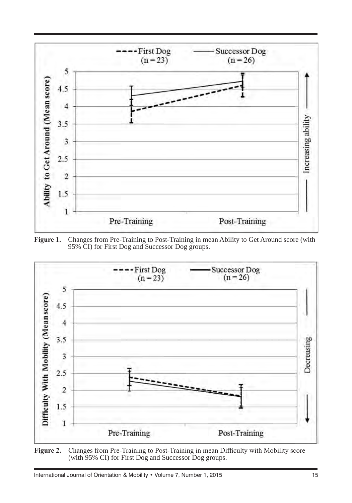





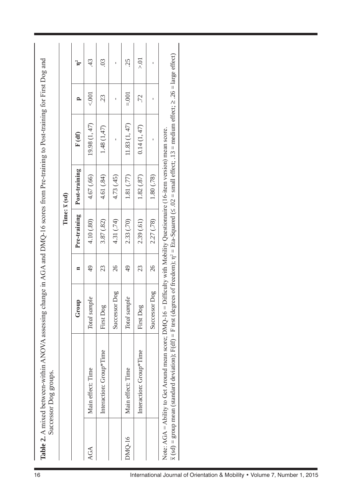| AGA    |                                                                                                                             |               |                 |              | Time: $\bar{x}$ (sd) |                                                                                                                                                                                                    |               |                |
|--------|-----------------------------------------------------------------------------------------------------------------------------|---------------|-----------------|--------------|----------------------|----------------------------------------------------------------------------------------------------------------------------------------------------------------------------------------------------|---------------|----------------|
|        |                                                                                                                             | Group         | $\blacksquare$  | Pre-training | Post-training        | F(df)                                                                                                                                                                                              | ≏             | $\mathbf{r}^2$ |
|        | Main effect: Time                                                                                                           | Total sample  | $\overline{6}$  | 4.10(.80)    | 4.67 (.66)           | 19.98 (1, 47)                                                                                                                                                                                      | 5001          | 43             |
|        | Interaction: Group*Time                                                                                                     | First Dog     | 23              | 3.87(0.82)   | 4.61 (.84)           | 1.48 (1,47)                                                                                                                                                                                        | 23            | $\mathcal{L}$  |
|        |                                                                                                                             | Successor Dog | 26              | 4.31 (.74)   | 4.73 (.45)           | Ĭ.                                                                                                                                                                                                 | $\bar{\rm I}$ | $\bar{\rm I}$  |
| DMQ-16 | Main effect: Time                                                                                                           | Total sample  | $\overline{49}$ | 2.33 (.70)   | 1.81 (.77)           | 11.83 (1, 47)                                                                                                                                                                                      | $= 0.001$     | 25             |
|        | Interaction: Group*Time                                                                                                     | First Dog     | 23              | 2.39(.61)    | 1.82(.87)            | 0.14(1, 47)                                                                                                                                                                                        | 72            | $\gtrsim$ 0.   |
|        |                                                                                                                             | Successor Dog | 26              | 2.27 (.78)   | 1.80 (.78)           | $\mathbf{I}$                                                                                                                                                                                       | $\mathbf{I}$  | $\overline{1}$ |
|        | Note: AGA = Ability to Get Around mean score; DMQ-16 = Difficulty with Mobility Questionnaire (16-item version) mean score. |               |                 |              |                      | $\bar{x}$ (sd) = group mean (standard deviation); F(df) = F test (degrees of freedom); $\eta^2 = \text{Eta-Squared}$ ( $\leq .02 = \text{small effect}$ ; 13 = medium effect; 2.26 = large effect) |               |                |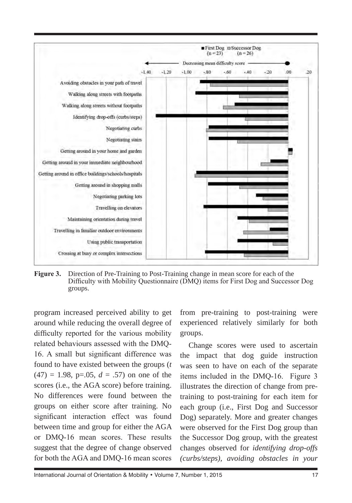

Figure 3. Direction of Pre-Training to Post-Training change in mean score for each of the Difficulty with Mobility Questionnaire (DMQ) items for First Dog and Successor Dog groups.

program increased perceived ability to get around while reducing the overall degree of difficulty reported for the various mobility related behaviours assessed with the DMQ-16. A small but significant difference was found to have existed between the groups (*t*   $(47) = 1.98$ , p=.05,  $d = .57$ ) on one of the scores (i.e., the AGA score) before training. No differences were found between the groups on either score after training. No significant interaction effect was found between time and group for either the AGA or DMQ-16 mean scores. These results suggest that the degree of change observed for both the AGA and DMQ-16 mean scores

from pre-training to post-training were experienced relatively similarly for both groups.

Change scores were used to ascertain the impact that dog guide instruction was seen to have on each of the separate items included in the DMQ-16. Figure 3 illustrates the direction of change from pretraining to post-training for each item for each group (i.e., First Dog and Successor Dog) separately. More and greater changes were observed for the First Dog group than the Successor Dog group, with the greatest changes observed for *identifying drop-offs (curbs/steps), avoiding obstacles in your*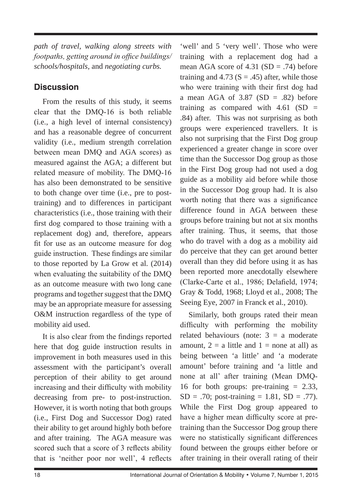*path of travel, walking along streets with footpaths, getting around in office buildings/ schools/hospitals,* and *negotiating curbs.* 

# **Discussion**

From the results of this study, it seems clear that the DMQ-16 is both reliable (i.e., a high level of internal consistency) and has a reasonable degree of concurrent validity (i.e., medium strength correlation between mean DMQ and AGA scores) as measured against the AGA; a different but related measure of mobility. The DMQ-16 has also been demonstrated to be sensitive to both change over time (i.e., pre to posttraining) and to differences in participant characteristics (i.e., those training with their first dog compared to those training with a replacement dog) and, therefore, appears fit for use as an outcome measure for dog guide instruction. These findings are similar to those reported by La Grow et al. (2014) when evaluating the suitability of the DMQ as an outcome measure with two long cane programs and together suggest that the DMQ may be an appropriate measure for assessing O&M instruction regardless of the type of mobility aid used.

It is also clear from the findings reported here that dog guide instruction results in improvement in both measures used in this assessment with the participant's overall perception of their ability to get around increasing and their difficulty with mobility decreasing from pre- to post-instruction. However, it is worth noting that both groups (i.e., First Dog and Successor Dog) rated their ability to get around highly both before and after training. The AGA measure was scored such that a score of 3 reflects ability that is 'neither poor nor well', 4 reflects

'well' and 5 'very well'. Those who were training with a replacement dog had a mean AGA score of  $4.31$  (SD = .74) before training and 4.73 ( $S = .45$ ) after, while those who were training with their first dog had a mean AGA of  $3.87$  (SD = .82) before training as compared with  $4.61$  (SD = .84) after. This was not surprising as both groups were experienced travellers. It is also not surprising that the First Dog group experienced a greater change in score over time than the Successor Dog group as those in the First Dog group had not used a dog guide as a mobility aid before while those in the Successor Dog group had. It is also worth noting that there was a significance difference found in AGA between these groups before training but not at six months after training. Thus, it seems, that those who do travel with a dog as a mobility aid do perceive that they can get around better overall than they did before using it as has been reported more anecdotally elsewhere (Clarke-Carte et al., 1986; Delafield, 1974; Gray & Todd, 1968; Lloyd et al., 2008; The Seeing Eye, 2007 in Franck et al., 2010).

Similarly, both groups rated their mean difficulty with performing the mobility related behaviours (note:  $3 = a$  moderate amount,  $2 = a$  little and  $1 = none$  at all) as being between 'a little' and 'a moderate amount' before training and 'a little and none at all' after training (Mean DMQ-16 for both groups: pre-training  $= 2.33$ ,  $SD = .70$ ; post-training = 1.81,  $SD = .77$ ). While the First Dog group appeared to have a higher mean difficulty score at pretraining than the Successor Dog group there were no statistically significant differences found between the groups either before or after training in their overall rating of their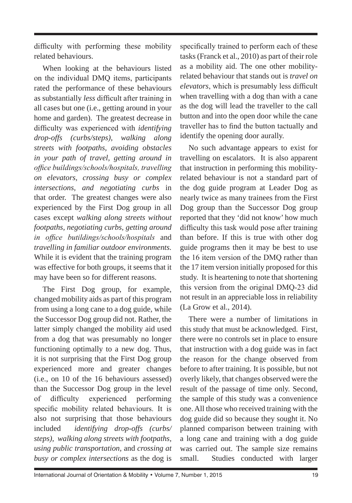difficulty with performing these mobility related behaviours.

When looking at the behaviours listed on the individual DMQ items, participants rated the performance of these behaviours as substantially *less* difficult after training in all cases but one (i.e., getting around in your home and garden). The greatest decrease in difficulty was experienced with *identifying drop-offs (curbs/steps), walking along streets with footpaths, avoiding obstacles in your path of travel, getting around in office buildings/schools/hospitals, travelling on elevators, crossing busy or complex intersections, and negotiating curbs* in that order. The greatest changes were also experienced by the First Dog group in all cases except *walking along streets without footpaths, negotiating curbs, getting around in office butildings/schools/hospitals* and *travelling in familiar outdoor environments.* While it is evident that the training program was effective for both groups, it seems that it may have been so for different reasons.

The First Dog group, for example, changed mobility aids as part of this program from using a long cane to a dog guide, while the Successor Dog group did not. Rather, the latter simply changed the mobility aid used from a dog that was presumably no longer functioning optimally to a new dog. Thus, it is not surprising that the First Dog group experienced more and greater changes (i.e., on 10 of the 16 behaviours assessed) than the Successor Dog group in the level of difficulty experienced performing specific mobility related behaviours. It is also not surprising that those behaviours included *identifying drop-offs (curbs/ steps), walking along streets with footpaths, using public transportation,* and *crossing at busy or complex intersections* as the dog is specifically trained to perform each of these tasks (Franck et al., 2010) as part of their role as a mobility aid. The one other mobilityrelated behaviour that stands out is *travel on elevators*, which is presumably less difficult when travelling with a dog than with a cane as the dog will lead the traveller to the call button and into the open door while the cane traveller has to find the button tactually and identify the opening door aurally.

No such advantage appears to exist for travelling on escalators. It is also apparent that instruction in performing this mobilityrelated behaviour is not a standard part of the dog guide program at Leader Dog as nearly twice as many trainees from the First Dog group than the Successor Dog group reported that they 'did not know' how much difficulty this task would pose after training than before. If this is true with other dog guide programs then it may be best to use the 16 item version of the DMQ rather than the 17 item version initially proposed for this study. It is heartening to note that shortening this version from the original DMQ-23 did not result in an appreciable loss in reliability (La Grow et al., 2014).

There were a number of limitations in this study that must be acknowledged. First, there were no controls set in place to ensure that instruction with a dog guide was in fact the reason for the change observed from before to after training. It is possible, but not overly likely, that changes observed were the result of the passage of time only. Second, the sample of this study was a convenience one. All those who received training with the dog guide did so because they sought it. No planned comparison between training with a long cane and training with a dog guide was carried out. The sample size remains small. Studies conducted with larger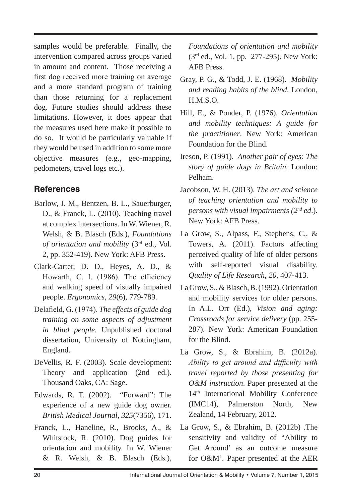samples would be preferable. Finally, the intervention compared across groups varied in amount and content. Those receiving a first dog received more training on average and a more standard program of training than those returning for a replacement dog. Future studies should address these limitations. However, it does appear that the measures used here make it possible to do so. It would be particularly valuable if they would be used in addition to some more objective measures (e.g., geo-mapping, pedometers, travel logs etc.).

# **References**

- Barlow, J. M., Bentzen, B. L., Sauerburger, D., & Franck, L. (2010). Teaching travel at complex intersections. In W. Wiener, R. Welsh, & B. Blasch (Eds.), *Foundations of orientation and mobility* (3rd ed., Vol. 2, pp. 352-419). New York: AFB Press.
- Clark-Carter, D. D., Heyes, A. D., & Howarth, C. I. (1986). The efficiency and walking speed of visually impaired people. *Ergonomics, 29*(6), 779-789.
- Delafield, G. (1974). *The effects of guide dog training on some aspects of adjustment in blind people.* Unpublished doctoral dissertation, University of Nottingham, England.
- DeVellis, R. F. (2003). Scale development: Theory and application (2nd ed.). Thousand Oaks, CA: Sage.
- Edwards, R. T. (2002). "Forward": The experience of a new guide dog owner. *British Medical Journal, 325*(7356), 171.
- Franck, L., Haneline, R., Brooks, A., & Whitstock, R. (2010). Dog guides for orientation and mobility. In W. Wiener & R. Welsh, & B. Blasch (Eds.),

*Foundations of orientation and mobility*  (3rd ed., Vol. 1, pp. 277-295). New York: AFB Press.

- Gray, P. G., & Todd, J. E. (1968). *Mobility and reading habits of the blind.* London, H.M.S.O.
- Hill, E., & Ponder, P. (1976). *Orientation and mobility techniques: A guide for the practitioner*. New York: American Foundation for the Blind.
- Ireson, P. (1991). *Another pair of eyes: The story of guide dogs in Britain.* London: Pelham.
- Jacobson, W. H. (2013). *The art and science of teaching orientation and mobility to persons with visual impairments (2nd ed*.). New York: AFB Press.
- La Grow, S., Alpass, F., Stephens, C., & Towers, A. (2011). Factors affecting perceived quality of life of older persons with self-reported visual disability. *Quality of Life Research, 20,* 407-413.
- La Grow, S., & Blasch, B. (1992). Orientation and mobility services for older persons. In A.L. Orr (Ed.), *Vision and aging: Crossroads for service delivery* (pp. 255- 287). New York: American Foundation for the Blind.
- La Grow, S., & Ebrahim, B. (2012a). *Ability to get around and difficulty with travel reported by those presenting for O&M instruction*. Paper presented at the 14th International Mobility Conference (IMC14), Palmerston North, New Zealand, 14 February, 2012.
- La Grow, S., & Ebrahim, B. (2012b) .The sensitivity and validity of "Ability to Get Around' as an outcome measure for O&M'. Paper presented at the AER